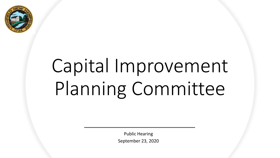

# Capital Improvement Planning Committee

Public Hearing September 23, 2020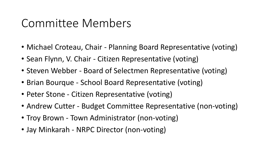#### Committee Members

- Michael Croteau, Chair Planning Board Representative (voting)
- Sean Flynn, V. Chair Citizen Representative (voting)
- Steven Webber Board of Selectmen Representative (voting)
- Brian Bourque School Board Representative (voting)
- Peter Stone Citizen Representative (voting)
- Andrew Cutter Budget Committee Representative (non-voting)
- Troy Brown Town Administrator (non-voting)
- Jay Minkarah NRPC Director (non-voting)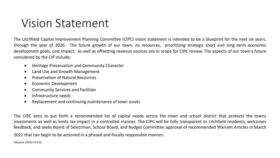#### Vision Statement

The Litchfield Capital Improvement Planning Committee (CIPC) vision statement is intended to be a blueprint for the next six years, through the year of 2026. The future growth of our town, its resources, prioritizing strategic short and long term economic development goals, cost impact, as well as offsetting revenue sources are in scope for CIPC review. The aspects of our town's future considered by the CIP include:

- Heritage Preservation and Community Character
- Land Use and Growth Management
- Preservation of Natural Resources
- Economic Development
- Community Services and Facilities
- Infrastructure needs
- Replacement and continuing maintenance of town assets

The CIPC aims to put forth a recommended list of capital needs across the town and school district that protects the towns investments as well as limits tax impact in a controlled manner. The CIPC will be fully transparent to Litchfield residents, welcomes feedback, and seeks Board of Selectman, School Board, and Budget Committee approval of recommended Warrant Articles in March

<sup>2021</sup> that can begin to be actioned in <sup>a</sup> phased and fiscally responsible manner.

#### Adopted 3/9/20 (4-0-0)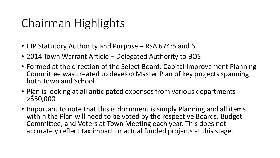#### Chairman Highlights

- CIP Statutory Authority and Purpose RSA 674:5 and 6
- 2014 Town Warrant Article Delegated Authority to BOS
- Formed at the direction of the Select Board. Capital Improvement Planning Committee was created to develop Master Plan of key projects spanning both Town and School
- Plan is looking at all anticipated expenses from various departments >\$50,000
- Important to note that this is document is simply Planning and all items within the Plan will need to be voted by the respective Boards, Budget Committee, and Voters at Town Meeting each year. This does not accurately reflect tax impact or actual funded projects at this stage.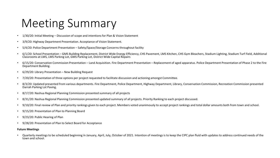#### Meeting Summary

- 1/30/20: Initial Meeting Discussion of scope and intentions for Plan & Vision Statement
- 3/9/20: Highway Department Presentation. Acceptance of Vision Statement.
- 5/4/20: Police Department Presentation Safety/Space/Storage Concerns throughout facility
- 6/1/20: School Presentation GMS Building Replacement, District Wide Energy Efficiency, CHS Pavement, LMS Kitchen, CHS Gym Bleachers, Stadium Lighting, Stadium Turf Field, Additional Classrooms at LMS, LMS Parking Lot, GMS Parking Lot, District Wide Capital Repairs
- 6/15/20: Conservation Commission Presentation Land Acquisition. Fire Department Presentation Replacement of aged apparatus. Police Department Presentation of Phase 2 to the Fire Department Building.
- 6/29/20: Library Presentation New Building Request
- 7/20/20: Presentation of three options per project requested to facilitate discussion and actioning amongst Committee.
- 8/3/20: Updated presented from various departments. Fire Department, Police Department, Highway Department, Library, Conservation Commission, Recreation Commission presented Darrah Parking Lot Paving.
- 8/17/20: Nashua Regional Planning Commission presented summary of all projects
- 8/31/20: Nashua Regional Planning Commission presented updated summary of all projects. Priority Ranking to each project discussed.
- 9/10/20: Final review of Plan and priority rankings given to each project. Members voted unanimously to accept project rankings and total dollar amounts both from town and school.
- 9/15/20: Presentation of Plan to Planning Board
- 9/23/20: Public Hearing of Plan
- 9/28/20: Presentation of Plan to Select Board for Acceptance

#### **Future Meetings**

• Quarterly meetings to be scheduled beginning in January, April, July, October of 2021. Intention of meetings is to keep the CIPC plan fluid with updates to address continued needs of the town and school.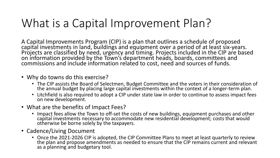#### What is a Capital Improvement Plan?

A Capital Improvements Program (CIP) is a plan that outlines a schedule of proposed capital investments in land, buildings and equipment over a period of at least six-years. Projects are classified by need, urgency and timing. Projects included in the CIP are based on information provided by the Town's department heads, boards, committees and commissions and include information related to cost, need and sources of funds.

- Why do towns do this exercise?
	- The CIP assists the Board of Selectmen, Budget Committee and the voters in their consideration of the annual budget by placing large capital investments within the context of a longer-term plan.
	- Litchfield is also required to adopt a CIP under state law in order to continue to assess impact fees on new development.
- What are the benefits of Impact Fees?
	- Impact fees allow the Town to off-set the costs of new buildings, equipment purchases and other capital investments necessary to accommodate new residential development; costs that would otherwise be borne solely by the taxpayers.
- Cadence/Living Document
	- Once the 2021-2026 CIP is adopted, the CIP Committee Plans to meet at least quarterly to review the plan and propose amendments as needed to ensure that the CIP remains current and relevant as a planning and budgetary tool.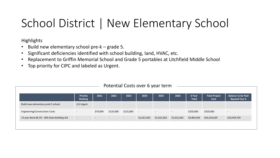#### School District | New Elementary School

**Highlights** 

- Build new elementary school pre-k grade 5.
- Significant deficiencies identified with school building, land, HVAC, etc.
- Replacement to Griffin Memorial School and Grade 5 portables at Litchfield Middle School
- Top priority for CIPC and labeled as Urgent.

|                                            | <b>Priority</b><br>Ranking | 2021     | 2022                     | 2023      | 2024        | 2025        | 2026                     | 6 Year<br><b>Total</b> | <b>Total Project</b><br>Cost | <b>Balance to be Paid</b><br><b>Beyond Year 6</b> |
|--------------------------------------------|----------------------------|----------|--------------------------|-----------|-------------|-------------|--------------------------|------------------------|------------------------------|---------------------------------------------------|
| Build new elementary preK-5 school         | (U) Urgent                 |          |                          |           |             |             |                          |                        |                              |                                                   |
| Engineering/Construction Costs             | $-$                        | \$70,000 | \$125,000                | \$125,000 | $\sim$      | $\sim$      | $\overline{\phantom{a}}$ | \$320,000              | \$320,000                    | $\overline{\phantom{0}}$                          |
| 15 year Bond @ 2% - 30% State Building Aid | $\overline{\phantom{a}}$   | $\sim$   | $\overline{\phantom{0}}$ | $\sim$    | \$1,621,642 | \$1,621,642 | \$1,621,642              | \$4,864,926            | \$24,324,629                 | \$19,459,703                                      |
|                                            |                            |          |                          |           |             |             |                          |                        |                              |                                                   |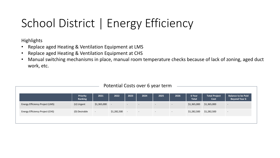## School District | Energy Efficiency

**Highlights** 

- Replace aged Heating & Ventilation Equipment at LMS
- Replace aged Heating & Ventilation Equipment at CHS
- Manual switching mechanisms in place, manual room temperature checks because of lack of zoning, aged duct work, etc.

|                                        | <b>Priority</b><br>Ranking | 2021        | 2022           | 2023   | 2024                     | 2025   | 2026                     | 6 Year<br><b>Total</b> | <b>Total Project</b><br>Cost | <b>Balance to be Paid</b><br><b>Beyond Year 6</b> |
|----------------------------------------|----------------------------|-------------|----------------|--------|--------------------------|--------|--------------------------|------------------------|------------------------------|---------------------------------------------------|
| Energy Efficiency Project (LMS)        | (U) Urgent                 | \$1,365,000 |                | $\sim$ | $\overline{\phantom{a}}$ | $\sim$ | $\overline{\phantom{a}}$ | \$1,365,000            | \$1,365,000                  | $\overline{\phantom{0}}$                          |
| <b>Energy Efficiency Project (CHS)</b> | (D) Desirable              | $\sim$      | $$1,282,500$ - |        | $\sim$                   | $\sim$ | $\overline{\phantom{0}}$ | \$1,282,500            | \$1,282,500                  | $\overline{\phantom{0}}$                          |
|                                        |                            |             |                |        |                          |        |                          |                        |                              |                                                   |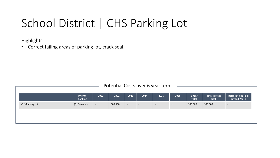#### School District | CHS Parking Lot

**Highlights** 

• Correct failing areas of parking lot, crack seal.

|                        | <b>Priority</b><br>Ranking | 2021   | 2022     | 2023   | 2024   | 2025   | 2026   | 6 Year<br><b>Total</b> | <b>Total Project</b><br>Cost | <b>Balance to be Paid</b><br><b>Beyond Year 6</b> |
|------------------------|----------------------------|--------|----------|--------|--------|--------|--------|------------------------|------------------------------|---------------------------------------------------|
| <b>CHS Parking Lot</b> | (D) Desirable              | $\sim$ | \$85,500 | $\sim$ | $\sim$ | $\sim$ | $\sim$ | \$85,500               | \$85,500                     | $\overline{\phantom{a}}$                          |
|                        |                            |        |          |        |        |        |        |                        |                              |                                                   |
|                        |                            |        |          |        |        |        |        |                        |                              |                                                   |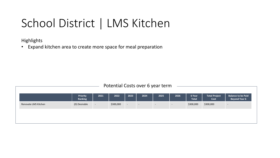#### School District | LMS Kitchen

**Highlights** 

• Expand kitchen area to create more space for meal preparation

|                      | <b>Priority</b><br>Ranking | 2021   | 2022      | 2023   | 2024   | 2025   | 2026   | 6 Year<br><b>Total</b> | <b>Total Project</b><br>Cost | <b>Balance to be Paid</b><br><b>Beyond Year 6</b> |
|----------------------|----------------------------|--------|-----------|--------|--------|--------|--------|------------------------|------------------------------|---------------------------------------------------|
| Renovate LMS Kitchen | (D) Desirable              | $\sim$ | \$300,000 | $\sim$ | $\sim$ | $\sim$ | $\sim$ | \$300,000              | \$300,000                    | $\overline{\phantom{0}}$                          |
|                      |                            |        |           |        |        |        |        |                        |                              |                                                   |
|                      |                            |        |           |        |        |        |        |                        |                              |                                                   |
|                      |                            |        |           |        |        |        |        |                        |                              |                                                   |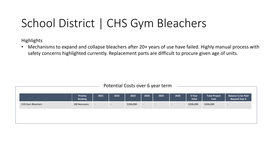#### School District | CHS Gym Bleachers

**Highlights** 

• Mechanisms to expand and collapse bleachers after 20+ years of use have failed. Highly manual process with safety concerns highlighted currently. Replacement parts are difficult to procure given age of units.

| Potential Costs over 6 year term |        |        |           |        |                          |                          |                        |                              |                                                   |  |  |
|----------------------------------|--------|--------|-----------|--------|--------------------------|--------------------------|------------------------|------------------------------|---------------------------------------------------|--|--|
| Priority<br><b>Ranking</b>       | 2021   | 2022   | 2023      | 2024   | 2025                     | 2026                     | 6 Year<br><b>Total</b> | <b>Total Project</b><br>Cost | <b>Balance to be Paid</b><br><b>Beyond Year 6</b> |  |  |
| (N) Necessary                    | $\sim$ | $\sim$ | \$206,000 | $\sim$ | $\overline{\phantom{a}}$ | $\overline{\phantom{0}}$ | \$206,000              | \$206,000                    | $\overline{\phantom{a}}$                          |  |  |
|                                  |        |        |           |        |                          |                          |                        |                              |                                                   |  |  |
|                                  |        |        |           |        |                          |                          |                        |                              |                                                   |  |  |
|                                  |        |        |           |        |                          |                          |                        |                              |                                                   |  |  |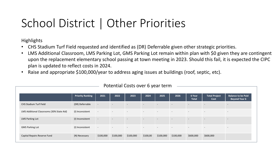#### School District | Other Priorities

Highlights

- CHS Stadium Turf Field requested and identified as (DR) Deferrable given other strategic priorities.
- LMS Additional Classroom, LMS Parking Lot, GMS Parking Lot remain within plan with \$0 given they are contingent upon the replacement elementary school passing at town meeting in 2023. Should this fail, it is expected the CIPC plan is updated to reflect costs in 2024.
- Raise and appropriate \$100,000/year to address aging issues at buildings (roof, septic, etc).

|                                           | <b>Priority Ranking</b> | 2021                     | 2022                     | 2023                     | 2024                     | 2025                     | 2026                     | 6 Year<br><b>Total</b> | <b>Total Project</b><br>Cost | <b>Balance to be Paid</b><br><b>Beyond Year 6</b> |
|-------------------------------------------|-------------------------|--------------------------|--------------------------|--------------------------|--------------------------|--------------------------|--------------------------|------------------------|------------------------------|---------------------------------------------------|
| CHS Stadium Turf Field                    | (DR) Deferrable         | $\overline{\phantom{a}}$ | $\overline{\phantom{0}}$ | $\sim$                   | $\overline{\phantom{a}}$ | $\overline{a}$           | $\overline{\phantom{a}}$ | $\sim$                 | $\sim$                       | $\sim$                                            |
| LMS Additional Classrooms (30% State Aid) | (I) Inconsistent        | $\sim$                   | $\overline{\phantom{a}}$ | $\overline{\phantom{0}}$ | $\overline{\phantom{0}}$ | $\overline{\phantom{0}}$ | $\overline{\phantom{a}}$ | $\sim$                 | $-$                          | $\overline{\phantom{0}}$                          |
| <b>LMS Parking Lot</b>                    | (I) Inconsistent        | $\sim$                   | $\overline{\phantom{a}}$ | $\sim$                   | $\overline{\phantom{a}}$ | $\overline{\phantom{0}}$ | $\sim$                   | $\sim$                 | $-$                          | $\overline{\phantom{0}}$                          |
| <b>GMS Parking Lot</b>                    | (I) Inconsistent        | $\sim$                   | $\sim$                   | $\overline{\phantom{0}}$ | $\overline{\phantom{a}}$ | $\overline{\phantom{0}}$ | $\overline{\phantom{a}}$ | $\sim$                 | $\sim$                       | $\overline{\phantom{0}}$                          |
| Capital Repairs Reserve Fund              | (N) Necessary           | \$100,000                | \$100,000                | \$100,000                | \$100,00                 | \$100,000                | \$100,000                | \$600,000              | \$600,000                    |                                                   |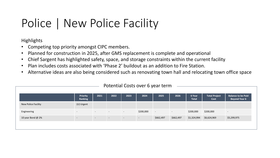### Police | New Police Facility

Highlights

- Competing top priority amongst CIPC members.
- Planned for construction in 2025, after GMS replacement is complete and operational
- Chief Sargent has highlighted safety, space, and storage constraints within the current facility
- Plan includes costs associated with 'Phase 2' buildout as an addition to Fire Station.
- Alternative ideas are also being considered such as renovating town hall and relocating town office space

| Priority<br>2022<br><b>Total Project</b><br>2024<br>2021<br>2023<br>2025<br>2026<br>6 Year<br>Ranking<br><b>Total</b><br>Cost<br>(U) Urgent<br>New Police Facility<br>\$200,000<br>\$200,000<br>\$200,000<br>Engineering<br>$\sim$<br>$\sim$<br>$\sim$<br>$\overline{\phantom{a}}$<br>$\overline{\phantom{0}}$<br>$\sim$<br>$\sim$ |                   |                          |        |                          |                          |                          |           |           |             |             |                                                   |
|------------------------------------------------------------------------------------------------------------------------------------------------------------------------------------------------------------------------------------------------------------------------------------------------------------------------------------|-------------------|--------------------------|--------|--------------------------|--------------------------|--------------------------|-----------|-----------|-------------|-------------|---------------------------------------------------|
|                                                                                                                                                                                                                                                                                                                                    |                   |                          |        |                          |                          |                          |           |           |             |             | <b>Balance to be Paid</b><br><b>Beyond Year 6</b> |
|                                                                                                                                                                                                                                                                                                                                    |                   |                          |        |                          |                          |                          |           |           |             |             |                                                   |
|                                                                                                                                                                                                                                                                                                                                    |                   |                          |        |                          |                          |                          |           |           |             |             |                                                   |
|                                                                                                                                                                                                                                                                                                                                    | 10 year Bond @ 2% | $\overline{\phantom{a}}$ | $\sim$ | $\overline{\phantom{a}}$ | $\overline{\phantom{a}}$ | $\overline{\phantom{a}}$ | \$662,497 | \$662,497 | \$1,324,994 | \$6,624,969 | \$5,299,975                                       |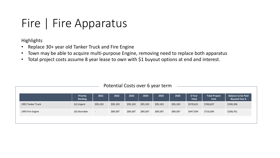#### Fire | Fire Apparatus

**Highlights** 

- Replace 30+ year old Tanker Truck and Fire Engine
- Town may be able to acquire multi-purpose Engine, removing need to replace both apparatus
- Total project costs assume 8 year lease to own with \$1 buyout options at end and interest.

| Potential Costs over 6 year term |                            |          |          |          |          |          |          |                        |                              |                                                   |  |
|----------------------------------|----------------------------|----------|----------|----------|----------|----------|----------|------------------------|------------------------------|---------------------------------------------------|--|
|                                  | <b>Priority</b><br>Ranking | 2021     | 2022     | 2023     | 2024     | 2025     | 2026     | 6 Year<br><b>Total</b> | <b>Total Project</b><br>Cost | <b>Balance to be Paid</b><br><b>Beyond Year 6</b> |  |
| 1991 Tanker Truck                | (U) Urgent                 | \$95,103 | \$95,103 | \$95,103 | \$95,103 | \$95,103 | \$95,103 | \$570,621              | \$760,827                    | \$190,206                                         |  |
| 1995 Fire Engine                 | (D) Desirable              | $\sim$   | \$89,587 | \$89,587 | \$89,587 | \$89,587 | \$89,587 | \$447,934              | \$716,695                    | \$268,761                                         |  |
|                                  |                            |          |          |          |          |          |          |                        |                              |                                                   |  |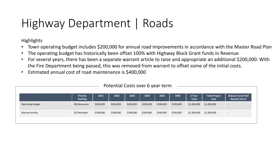### Highway Department | Roads

**Highlights** 

- Town operating budget includes \$200,000 for annual road improvements in accordance with the Master Road Plan
- The operating budget has historically been offset 100% with Highway Block Grant funds in Revenue
- For several years, there has been a separate warrant article to raise and appropriate an additional \$200,000. With the Fire Department being passed, this was removed from warrant to offset some of the initial costs.
- Estimated annual cost of road maintenance is \$400,000

| Potential Costs over 6 year term |                            |           |           |           |           |           |           |                        |                              |                                                   |  |
|----------------------------------|----------------------------|-----------|-----------|-----------|-----------|-----------|-----------|------------------------|------------------------------|---------------------------------------------------|--|
|                                  | <b>Priority</b><br>Ranking | 2021      | 2022      | 2023      | 2024      | 2025      | 2026      | 6 Year<br><b>Total</b> | <b>Total Project</b><br>Cost | <b>Balance to be Paid</b><br><b>Beyond Year 6</b> |  |
| <b>Operating Budget</b>          | (N) Necessary              | \$200,000 | \$200,000 | \$200,000 | \$200,000 | \$200,000 | \$200,000 | \$1,200,000            | \$1,200,000                  | $\overline{\phantom{a}}$                          |  |
| <b>Warrant Article</b>           | (D) Desirable              | \$200,000 | \$200,000 | \$200,000 | \$200,000 | \$200,000 | \$200,000 | \$1,200,000            | \$1,200,000                  | $\overline{\phantom{0}}$                          |  |
|                                  |                            |           |           |           |           |           |           |                        |                              |                                                   |  |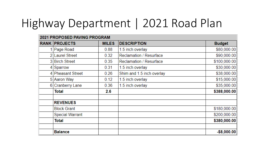### Highway Department | 2021 Road Plan

| <b>2021 PROPOSED PAVING PROGRAM</b> |              |                                |                |
|-------------------------------------|--------------|--------------------------------|----------------|
| <b>RANK PROJECTS</b>                | <b>MILES</b> | <b>DESCRIPTION</b>             | <b>Budget</b>  |
| 1 Page Road                         | 0.88         | 1.5 inch overlay               | \$80,000.00    |
| 2 Laurel Street                     | 0.32         | Reclamation / Resurface        | \$90,000.00    |
| 3 Birch Street                      | 0.35         | <b>Reclamation / Resurface</b> | \$100,000.00   |
| 4 Sparrow                           | 0.31         | 1.5 inch overlay               | \$30,000.00    |
| 4 Pheasant Street                   | 0.26         | Shim and 1.5 inch overlay      | \$38,000.00    |
| 5 Aaron Way                         | 0.12         | 1.5 inch overlay               | \$15,000.00    |
| 6 Cranberry Lane                    | 0.36         | 1.5 inch overlay               | \$35,000.00    |
| Total                               | 2.6          |                                | \$388,000.00   |
| <b>REVENUES</b>                     |              |                                |                |
| <b>Block Grant</b>                  |              |                                | \$180,000.00   |
| <b>Special Warrant</b>              |              |                                | \$200,000.00   |
| Total                               |              |                                | \$380,000.00   |
| <b>Balance</b>                      |              |                                | $-$ \$8,000.00 |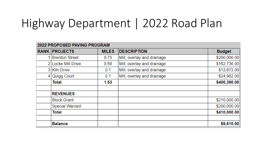#### Highway Department | 2022 Road Plan

| 2022 PROPOSED PAVING PROGRAM |              |                            |               |
|------------------------------|--------------|----------------------------|---------------|
| <b>RANK PROJECTS</b>         | <b>MILES</b> | <b>DESCRIPTION</b>         | <b>Budget</b> |
| <b>Brenton Street</b>        | 0.75         | Mill, overlay and drainage | \$200,000.00  |
| 2 Locke Mill Drive           | 0.68         | Mill, overlay and drainage | \$162,736.00  |
| 3 Kiln Drive                 | 0.1          | Mill, overlay and drainage | \$12,672.00   |
| 4 Quigg Court                | 0.1          | Mill, overlay and drainage | \$24,982.00   |
| <b>Total</b>                 | 1.53         |                            | \$400,390.00  |
|                              |              |                            |               |
| <b>REVENUES</b>              |              |                            |               |
| <b>Block Grant</b>           |              |                            | \$210,000.00  |
| <b>Special Warrant</b>       |              |                            | \$200,000.00  |
| <b>Total</b>                 |              |                            | \$410,000.00  |
| <b>Balance</b>               |              |                            | \$9,610.00    |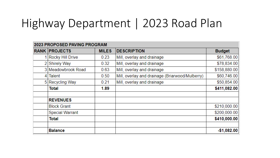#### Highway Department | 2023 Road Plan

| <b>2023 PROPOSED PAVING PROGRAM</b> |              |                                                 |               |
|-------------------------------------|--------------|-------------------------------------------------|---------------|
| <b>RANK PROJECTS</b>                | <b>MILES</b> | <b>DESCRIPTION</b>                              | <b>Budget</b> |
| <b>Rocky Hill Drive</b>             | 0.23         | Mill, overlay and drainage                      | \$61,768.00   |
| 2 Shirely Way                       | 0.32         | Mill, overlay and drainage                      | \$78,834.00   |
| 3 Meadowbrook Road                  | 0.63         | Mill, overlay and drainage                      | \$158,880.00  |
| 4 Talent                            | 0.50         | Mill, overlay and drainage (Briarwood/Mulberry) | \$60,746.00   |
| 5 Recycling Way                     | 0.21         | Mill, overlay and drainage                      | \$50,854.00   |
| <b>Total</b>                        | 1.89         |                                                 | \$411,082.00  |
| <b>REVENUES</b>                     |              |                                                 |               |
| <b>Block Grant</b>                  |              |                                                 | \$210,000.00  |
| <b>Special Warrant</b>              |              |                                                 | \$200,000.00  |
| Total                               |              |                                                 | \$410,000.00  |
| <b>Balance</b>                      |              |                                                 | $-$1,082.00$  |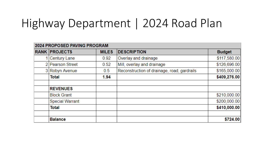#### Highway Department | 2024 Road Plan

| 2024 PROPOSED PAVING PROGRAM |              |                                             |               |
|------------------------------|--------------|---------------------------------------------|---------------|
| <b>RANK PROJECTS</b>         | <b>MILES</b> | <b>DESCRIPTION</b>                          | <b>Budget</b> |
| 1 Century Lane               | 0.92         | Overlay and drainage                        | \$117,580.00  |
| 2 Pearson Street             | 0.52         | Mill, overlay and drainage                  | \$126,696.00  |
| 3 Robyn Avenue               | 0.5          | Reconstruction of drainage, road, gardrails | \$165,000.00  |
| Total                        | 1.94         |                                             | \$409,276.00  |
|                              |              |                                             |               |
| <b>REVENUES</b>              |              |                                             |               |
| <b>Block Grant</b>           |              |                                             | \$210,000.00  |
| <b>Special Warrant</b>       |              |                                             | \$200,000.00  |
| Total                        |              |                                             | \$410,000.00  |
| <b>Balance</b>               |              |                                             | \$724.00      |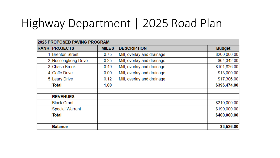### Highway Department | 2025 Road Plan

|    | 2025 PROPOSED PAVING PROGRAM |              |                            |               |
|----|------------------------------|--------------|----------------------------|---------------|
|    | <b>RANK PROJECTS</b>         | <b>MILES</b> | <b>DESCRIPTION</b>         | <b>Budget</b> |
|    | 1 Brenton Street             | 0.75         | Mill, overlay and drainage | \$200,000.00  |
|    | 2 Nessengkeag Drive          | 0.25         | Mill, overlay and drainage | \$64,342.00   |
|    | 3 Chase Brook                | 0.49         | Mill, overlay and drainage | \$101,826.00  |
|    | 4 Goffe Drive                | 0.09         | Mill, overlay and drainage | \$13,000.00   |
| 51 | <b>Leary Drive</b>           | 0.12         | Mill, overlay and drainage | \$17,306.00   |
|    | <b>Total</b>                 | 1.00         |                            | \$396,474.00  |
|    | <b>REVENUES</b>              |              |                            |               |
|    | <b>Block Grant</b>           |              |                            | \$210,000.00  |
|    | <b>Special Warrant</b>       |              |                            | \$190,000.00  |
|    | <b>Total</b>                 |              |                            | \$400,000.00  |
|    | <b>Balance</b>               |              |                            | \$3,526.00    |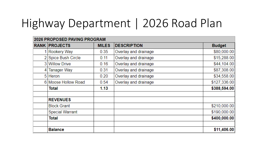### Highway Department | 2026 Road Plan

| 2026 PROPOSED PAVING PROGRAM |              |                      |               |
|------------------------------|--------------|----------------------|---------------|
| <b>RANK PROJECTS</b>         | <b>MILES</b> | <b>DESCRIPTION</b>   | <b>Budget</b> |
| Rookery Way                  | 0.35         | Overlay and drainage | \$80,000.00   |
| 2 Spice Bush Circle          | 0.11         | Overlay and drainage | \$15,288.00   |
| 3 Willow Drive               | 0.16         | Overlay and drainage | \$44,104.00   |
| <b>Tanager Way</b>           | 0.31         | Overlay and drainage | \$87,308.00   |
| 5 Heron                      | 0.20         | Overlay and drainage | \$34,558.00   |
| 6 Moose Hollow Road          | 0.54         | Overlay and drainage | \$127,336.00  |
| Total                        | 1.13         |                      | \$388,594.00  |
| <b>REVENUES</b>              |              |                      |               |
| <b>Block Grant</b>           |              |                      | \$210,000.00  |
| <b>Special Warrant</b>       |              |                      | \$190,000.00  |
| <b>Total</b>                 |              |                      | \$400,000.00  |
|                              |              |                      |               |
| <b>Balance</b>               |              |                      | \$11,406.00   |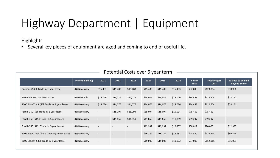### Highway Department | Equipment

**Highlights** 

• Several key pieces of equipment are aged and coming to end of useful life.

|                                                | <b>Priority Ranking</b> | 2021                     | 2022     | 2023                     | 2024     | 2025     | 2026     | 6 Year<br><b>Total</b> | <b>Total Project</b><br>Cost | <b>Balance to be Paid</b><br><b>Beyond Year 6</b> |
|------------------------------------------------|-------------------------|--------------------------|----------|--------------------------|----------|----------|----------|------------------------|------------------------------|---------------------------------------------------|
| Backhoe (\$40k Trade In; 8 year lease)         | (N) Necessary           | \$15,483                 | \$15,483 | \$15,483                 | \$15,483 | \$15,483 | \$15,483 | \$92,898               | \$123,864                    | \$30,966                                          |
| New Plow Truck (8 Year lease)                  | (D) Desirable           | \$14,076                 | \$14,076 | \$14,076                 | \$14,076 | \$14,076 | \$14,076 | \$84,453               | \$112,604                    | \$28,151                                          |
| 2000 Plow Truck (\$5k Trade In; 8 year lease)  | (N) Necessary           | \$14,076                 | \$14,076 | \$14,076                 | \$14,076 | \$14,076 | \$14,076 | \$84,453               | \$112,604                    | \$28,151                                          |
| Ford F-350 (\$5k Trade In; 5 year lease)       | (N) Necessary           | $\overline{\phantom{a}}$ | \$15,094 | \$15,094                 | \$15,094 | \$15,094 | \$15,094 | \$75,469               | \$75,469                     | ٠                                                 |
| Ford F-450 (\$15k Trade In; 5 year lease)      | (N) Necessary           | $\overline{\phantom{a}}$ | \$11,859 | \$11,859                 | \$11,859 | \$11,859 | \$11,859 | \$59,297               | \$59,297                     | $\overline{\phantom{a}}$                          |
| Ford F-350 (\$12k Trade In; 5 year lease)      | (N) Necessary           | $\overline{\phantom{a}}$ |          | $\sim$                   | \$12,937 | \$12,937 | \$12,937 | \$38,812               | \$70,000                     | \$12,937                                          |
| 2009 Plow Truck (\$45k Trade In; 8 year lease) | (N) Necessary           | $\overline{\phantom{a}}$ |          | $\overline{\phantom{a}}$ | \$16,187 | \$16,187 | \$16,187 | \$48,560               | \$129,494                    | \$80,394                                          |
| 2009 Loader (\$45k Trade In; 8 year lease)     | (N) Necessary           | $\sim$                   |          | $\overline{\phantom{a}}$ | \$19,002 | \$19,002 | \$19,002 | \$57,006               | \$152,015                    | \$95,009                                          |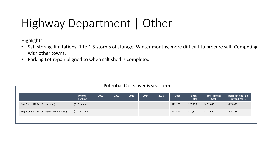### Highway Department | Other

**Highlights** 

- Salt storage limitations. 1 to 1.5 storms of storage. Winter months, more difficult to procure salt. Competing with other towns.
- Parking Lot repair aligned to when salt shed is completed.

| \$23,175<br>(D) Desirable<br>\$23,175<br>\$139,048<br>Salt Shed (\$200k; 10 year bond)<br>\$115,873<br>$\sim$<br>$\sim$<br>$\overline{\phantom{a}}$<br>. .<br>$\overline{\phantom{0}}$<br>\$104,286<br>Highway Parking Lot (\$150k; 10 year bond)<br>(D) Desirable<br>\$17,381<br>\$17,381<br>\$121,667<br>r – 1<br>$\sim$<br>$\sim$<br>$\sim$<br>$\overline{\phantom{0}}$ | <b>Priority</b><br>Ranking | 2021 | 2022 | 2023 | 2024 | 2025 | 2026 | 6 Year<br><b>Total</b> | <b>Total Project</b><br>Cost | <b>Balance to be Paid</b><br><b>Beyond Year 6</b> |
|----------------------------------------------------------------------------------------------------------------------------------------------------------------------------------------------------------------------------------------------------------------------------------------------------------------------------------------------------------------------------|----------------------------|------|------|------|------|------|------|------------------------|------------------------------|---------------------------------------------------|
|                                                                                                                                                                                                                                                                                                                                                                            |                            |      |      |      |      |      |      |                        |                              |                                                   |
|                                                                                                                                                                                                                                                                                                                                                                            |                            |      |      |      |      |      |      |                        |                              |                                                   |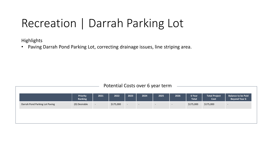#### Recreation | Darrah Parking Lot

**Highlights** 

• Paving Darrah Pond Parking Lot, correcting drainage issues, line striping area.

| Potential Costs over 6 year term |  |  |  |  |
|----------------------------------|--|--|--|--|
|----------------------------------|--|--|--|--|

|                                | <b>Priority</b><br>Ranking | 2021   | 2022      | 2023   | 2024 | 2025   | 2026   | 6 Year<br><b>Total</b> | <b>Total Project</b><br>Cost | <b>Balance to be Paid</b><br><b>Beyond Year 6</b> |
|--------------------------------|----------------------------|--------|-----------|--------|------|--------|--------|------------------------|------------------------------|---------------------------------------------------|
| Darrah Pond Parking Lot Paving | (D) Desirable              | $\sim$ | \$175,000 | $\sim$ | $-$  | $\sim$ | $\sim$ | \$175,000              | \$175,000                    | $\overline{\phantom{a}}$                          |
|                                |                            |        |           |        |      |        |        |                        |                              |                                                   |
|                                |                            |        |           |        |      |        |        |                        |                              |                                                   |
|                                |                            |        |           |        |      |        |        |                        |                              |                                                   |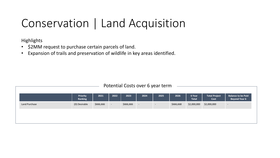#### Conservation | Land Acquisition

**Highlights** 

- \$2MM request to purchase certain parcels of land.
- Expansion of trails and preservation of wildlife in key areas identified.

|               | <b>Priority</b><br>Ranking | 2021      | 2022   | 2023      | 2024   | 2025 | 2026      | 6 Year<br><b>Total</b> | <b>Total Project</b><br>Cost | <b>Balance to be Paid</b><br><b>Beyond Year 6</b> |
|---------------|----------------------------|-----------|--------|-----------|--------|------|-----------|------------------------|------------------------------|---------------------------------------------------|
| Land Purchase | (D) Desirable              | \$666,666 | $\sim$ | \$666,666 | $\sim$ | $-$  | \$666,668 | \$2,000,000            | \$2,000,000                  | $\overline{\phantom{0}}$                          |
|               |                            |           |        |           |        |      |           |                        |                              |                                                   |
|               |                            |           |        |           |        |      |           |                        |                              |                                                   |
|               |                            |           |        |           |        |      |           |                        |                              |                                                   |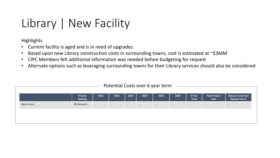#### Library | New Facility

**Highlights** 

- Current facility is aged and is in need of upgrades.
- Based upon new Library construction costs in surrounding towns, cost is estimated at ~\$3MM
- CIPC Members felt additional information was needed before budgeting for request
- Alternate options such as leveraging surrounding towns for their Library services should also be considered

|             | <b>Priority</b><br>Ranking | 2021           | 2022       | 2023       | 2024   | 2025   | 2026   | 6 Year<br>Total | <b>Total Project</b><br>Cost | <b>Balance to be Paid</b><br><b>Beyond Year 6</b> |
|-------------|----------------------------|----------------|------------|------------|--------|--------|--------|-----------------|------------------------------|---------------------------------------------------|
| New Library | (R) Research               | $\sim$ $ \sim$ | $\sim$ $-$ | $\sim$ $-$ | $\sim$ | $\sim$ | $\sim$ | $\sim$          | $\sim$                       | $\sim$                                            |
|             |                            |                |            |            |        |        |        |                 |                              |                                                   |
|             |                            |                |            |            |        |        |        |                 |                              |                                                   |
|             |                            |                |            |            |        |        |        |                 |                              |                                                   |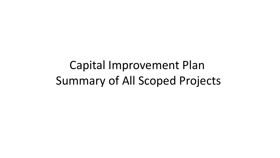Capital Improvement Plan Summary of All Scoped Projects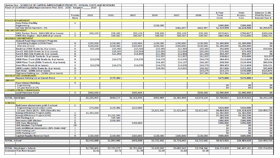| Option One - SCHEDULE OF CAPITAL IMPROVEMENT PROJECTS: ANNUAL COSTS AND REVENUES |           |             |             |             |             |             |             |                |                |                                                                                                                    |
|----------------------------------------------------------------------------------|-----------|-------------|-------------|-------------|-------------|-------------|-------------|----------------|----------------|--------------------------------------------------------------------------------------------------------------------|
| Town of Litchfield Capital Improvements Plan 2021 - 2026: Adopted                |           | 2020        |             |             |             |             |             |                |                |                                                                                                                    |
|                                                                                  |           |             |             |             |             |             |             |                |                |                                                                                                                    |
|                                                                                  |           |             |             |             |             |             |             | 6-Year         | <b>Total</b>   | <b>Balance To Be</b>                                                                                               |
|                                                                                  | Priority  | 2021        | 2022        | 2023        | 2024        | 2025        | 2026        | <b>Total</b>   | Project        | <b>Paid By Town</b>                                                                                                |
|                                                                                  | Rank      |             |             |             |             |             |             | Costs          | Cost           | <b>Beyond Year 6</b>                                                                                               |
|                                                                                  |           |             |             |             |             |             |             |                |                |                                                                                                                    |
| <b>POLICE DEPARTMENT</b>                                                         |           |             |             |             |             |             |             |                |                |                                                                                                                    |
| <b>New Police Facility</b>                                                       | U         |             |             |             |             |             |             |                |                |                                                                                                                    |
| Engineering                                                                      |           |             |             |             | \$200,000   |             |             | \$200,000      | \$200,000      | \$0                                                                                                                |
| 10-Year Bond Payment - 2%                                                        |           |             |             |             |             | \$662,497   | \$662,497   | \$1,324,994    | \$6,624,968    | \$5,299,975                                                                                                        |
| <b>FIRE DEPARTMENT</b>                                                           |           |             |             |             |             |             |             |                |                |                                                                                                                    |
| 1991 Tanker Truck - \$662,000 (8-yr Lease)                                       | U         | \$95,103    | \$95,103    | \$95,103    | \$95,103    | \$95,103    | \$95,103    | \$570,621      | \$760,827      | \$190,206                                                                                                          |
| 1995 Fire Engine - \$623,600 (8-yr Lease)                                        | D         |             | \$89,587    | \$89,587    | \$89,587    | \$89,587    | \$89,587    | \$447,934      | \$716,695      | \$268,761                                                                                                          |
| <b>HIGHWAY DEPARTMENT</b>                                                        |           |             |             |             |             |             |             |                |                |                                                                                                                    |
| <b>Annual Road Improvement Program</b>                                           |           |             |             |             |             |             |             |                |                |                                                                                                                    |
| Operating Budget (\$200K/Year)                                                   | N         | \$200,000   | \$200,000   | \$200,000   | \$200,000   | \$200,000   | \$200,000   | \$1,200,000    | \$1,200,000    | \$0                                                                                                                |
| <b>Warrant Article</b>                                                           | D         | \$200,000   | \$200,000   | \$200,000   | \$200,000   | \$200,000   | \$200,000   | \$1,200,000    | \$1,200,000    | \$0                                                                                                                |
| Backhoe (\$40k Trade-in, 8-yr Lease                                              | N         | \$15,483    | \$15,483    | \$15,483    | \$15,483    | \$15,483    | \$15,483    | \$92,898       | \$123,864      | \$30,966                                                                                                           |
| Ford F-350 (\$5k Trade-in, 5-yr Lease)                                           | N         |             | \$15,094    | \$15,094    | \$15,094    | \$15,094    | \$15,094    | \$75.469       | \$75,469       | \$0                                                                                                                |
|                                                                                  |           |             | \$11,859    | \$11,859    | \$11,859    | \$11,859    | \$11,859    | \$59,297       | \$59,297       | \$0                                                                                                                |
| Ford F-450 (15k Trade-in, 5-yr Lease)                                            | Ν<br>N    |             |             |             | \$12,937    | \$12,937    | \$12,937    | \$38,812       | \$70,000       | \$12,937                                                                                                           |
| Ford F-350 (\$12k Trade-in, 5-yr Lease)                                          |           |             |             |             |             |             |             |                |                |                                                                                                                    |
| 2000 Plow Truck (\$5k Trade-in, 8-yr lease)                                      | N         | \$14,076    | \$14,076    | \$14,076    | \$14,076    | \$14,076    | \$14,076    | \$84,453       | \$112,604      | \$28,151                                                                                                           |
| 2009 Plow Truck (\$45k Trade-in, 8-yr lease)                                     | N         |             |             |             | \$16,187    | \$16,187    | \$16,187    | \$48,560       | \$129,494      | \$80.934                                                                                                           |
| New Plow Truck (8-yr Lease)                                                      | D         | \$14,076    | \$14,076    | \$14,076    | \$14,076    | \$14,076    | \$14,076    | \$84,453       | \$112,604      | \$28,151                                                                                                           |
| 2009 Loader (\$45k Trade-in, 8-yr lease)                                         | N         |             |             |             | \$19,002    | \$19,002    | \$19,002    | \$57,006       | \$152,015      | \$95,009                                                                                                           |
| Salt Shed - \$200k (10-yr bond)                                                  | D         |             |             |             |             |             | \$23,175    | \$23,175       | \$139,048      | \$115,873                                                                                                          |
|                                                                                  |           |             |             |             |             |             |             |                |                |                                                                                                                    |
| Highway Parking Lot - \$150k (10-yr bond)                                        | D         |             |             |             |             |             | \$17,381    | \$17,381       | \$121,667      | \$104,286                                                                                                          |
| <b>RECREATION COMMISSION</b>                                                     |           |             |             |             |             |             |             |                |                |                                                                                                                    |
| <b>Repave Parking Lot at Darrah Pond</b>                                         | D         |             | \$175,000   |             |             |             |             | \$175,000      | \$175,000      | S <sub>0</sub>                                                                                                     |
| <b>LIBRARY</b>                                                                   |           |             |             |             |             |             |             |                |                |                                                                                                                    |
| <b>New Library Building</b>                                                      | R         |             |             |             |             |             |             | 50             | 50             | \$0                                                                                                                |
| Engineering                                                                      |           |             |             |             |             |             |             | 50             | 50             | \$0                                                                                                                |
| 10 year bond at 2%                                                               |           |             |             |             |             |             |             |                |                |                                                                                                                    |
| CONSERVATION COMMISSION                                                          |           |             |             |             |             |             |             |                |                |                                                                                                                    |
| <b>Land Purchase Fund</b>                                                        | D         | \$666,666   |             | \$666,666   |             |             | \$666,668   | \$2,000,000    | \$2,000,000    | 50                                                                                                                 |
|                                                                                  |           |             |             |             |             |             |             |                |                |                                                                                                                    |
| <b>TOTAL, Municipal</b>                                                          |           | \$1,205,403 | \$830,277   | \$1,321,943 | \$903,404   | \$1,365,900 | \$2,073,124 | \$7,700,052    | \$13,973,552   | \$6,255,250                                                                                                        |
|                                                                                  |           |             |             |             |             |             |             |                |                |                                                                                                                    |
| <b>SCHOOLS</b>                                                                   |           |             |             |             |             |             |             |                |                |                                                                                                                    |
| Build new elementary preK-5 school                                               | U         |             |             |             |             |             |             |                |                |                                                                                                                    |
| Engineering/construction costs                                                   |           | \$70,000    | \$125,000   | \$125,000   |             |             |             | \$320,000      | \$320,000      | \$0                                                                                                                |
| 15-year Bond @2% - 30% State Bld Aid                                             |           |             |             |             |             |             |             |                |                |                                                                                                                    |
|                                                                                  |           |             |             |             | \$1,621,642 | \$1,621,642 | \$1,621,642 | \$4,864,926    | \$24.324.629   |                                                                                                                    |
|                                                                                  |           |             |             |             |             |             |             |                |                |                                                                                                                    |
| <b>Energy Efficiency Project (LMS)</b>                                           | U         | \$1,365,000 |             |             |             |             |             | \$1,365,000    | \$1,365,000    |                                                                                                                    |
| <b>Energy Efficiency Project (CHS)</b>                                           | N<br>D    |             | \$1,282,500 |             |             |             |             | \$1,282,500    | \$1,282,500    |                                                                                                                    |
| <b>CHS Parking Lot</b>                                                           |           |             | \$85,500    |             |             |             |             | \$85,500       | \$85,500       |                                                                                                                    |
| Renovate LMS Kitchen                                                             | D         |             | \$300,000   |             |             |             |             | \$300,000      | \$300,000      |                                                                                                                    |
| <b>CHS Gym Bleachers</b>                                                         | N         |             |             | \$206,000   |             |             |             | \$206,000      | \$206,000      |                                                                                                                    |
| <b>CHS Stadium Turf Field</b>                                                    | <b>DR</b> |             |             |             |             |             |             | S <sub>0</sub> | S <sub>0</sub> |                                                                                                                    |
| LMS Additional Classrooms (30% State Aid)*                                       |           |             |             |             |             |             |             | \$O            | \$0            |                                                                                                                    |
| <b>LMS Parking Lot*</b>                                                          | т.        |             |             |             |             |             |             | S0             | \$0            |                                                                                                                    |
| <b>GMS Parking Lot*</b>                                                          | п         |             |             |             |             |             |             | S0             | S <sub>0</sub> |                                                                                                                    |
| <b>Capital Repairs Reserve Fund</b>                                              | N         | \$100,000   | \$100,000   | \$100,000   | \$100,000   | \$100,000   | \$100,000   | \$600,000      | \$600,000      |                                                                                                                    |
|                                                                                  |           |             |             |             |             |             |             |                |                |                                                                                                                    |
|                                                                                  |           | \$1,535,000 | \$1,893,000 | \$431,000   | \$1,721,642 | \$1,721,642 | \$1,721,642 | \$9,023,926    | \$28,483,629   |                                                                                                                    |
|                                                                                  |           |             |             |             |             |             |             |                |                |                                                                                                                    |
|                                                                                  |           |             |             |             |             |             |             |                |                |                                                                                                                    |
| TOTAL, School<br><b>TOTAL, Municipal + School</b>                                |           | \$2,740,403 | \$2,723,277 | \$1,752,943 | \$2,625,045 | \$3,087,542 | \$3,794,766 | \$16,723,978   | \$42,457,181   | \$19,459,703<br>\$0<br>\$0<br>\$0<br>\$0<br>\$0<br>\$0<br>\$0<br>\$0<br>\$0<br>\$0<br>\$19,459,703<br>\$25,714,953 |
| <b>Estimated Tax Rate Impact</b>                                                 |           | \$2.81      | \$2.71      | \$1.70      | \$2.47      | \$2.82      | \$3.36      |                |                |                                                                                                                    |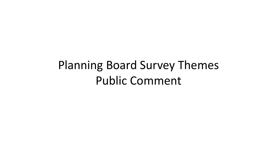#### Planning Board Survey Themes Public Comment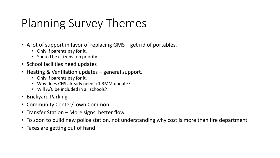#### Planning Survey Themes

- A lot of support in favor of replacing GMS get rid of portables.
	- Only if parents pay for it.
	- Should be citizens top priority
- School facilities need updates
- Heating & Ventilation updates general support.
	- Only if parents pay for it.
	- Why does CHS already need a 1.3MM update?
	- Will A/C be included in all schools?
- Brickyard Parking
- Community Center/Town Common
- Transfer Station More signs, better flow
- To soon to build new police station, not understanding why cost is more than fire department
- Taxes are getting out of hand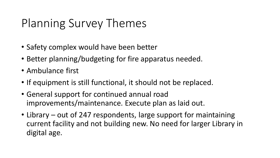#### Planning Survey Themes

- Safety complex would have been better
- Better planning/budgeting for fire apparatus needed.
- Ambulance first
- If equipment is still functional, it should not be replaced.
- General support for continued annual road improvements/maintenance. Execute plan as laid out.
- Library out of 247 respondents, large support for maintaining current facility and not building new. No need for larger Library in digital age.